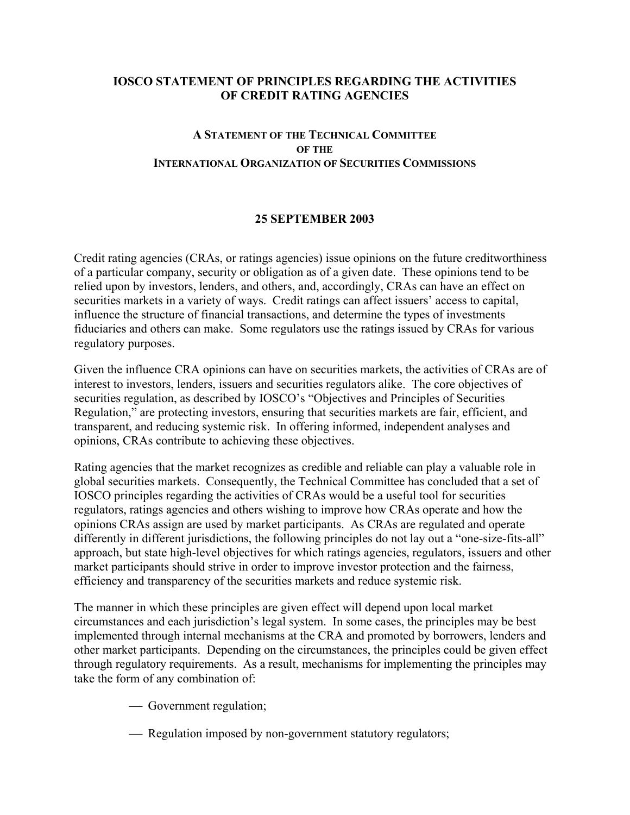### **IOSCO STATEMENT OF PRINCIPLES REGARDING THE ACTIVITIES OF CREDIT RATING AGENCIES**

## **A STATEMENT OF THE TECHNICAL COMMITTEE OF THE INTERNATIONAL ORGANIZATION OF SECURITIES COMMISSIONS**

#### **25 SEPTEMBER 2003**

Credit rating agencies (CRAs, or ratings agencies) issue opinions on the future creditworthiness of a particular company, security or obligation as of a given date. These opinions tend to be relied upon by investors, lenders, and others, and, accordingly, CRAs can have an effect on securities markets in a variety of ways. Credit ratings can affect issuers' access to capital, influence the structure of financial transactions, and determine the types of investments fiduciaries and others can make. Some regulators use the ratings issued by CRAs for various regulatory purposes.

Given the influence CRA opinions can have on securities markets, the activities of CRAs are of interest to investors, lenders, issuers and securities regulators alike. The core objectives of securities regulation, as described by IOSCO's "Objectives and Principles of Securities Regulation," are protecting investors, ensuring that securities markets are fair, efficient, and transparent, and reducing systemic risk. In offering informed, independent analyses and opinions, CRAs contribute to achieving these objectives.

Rating agencies that the market recognizes as credible and reliable can play a valuable role in global securities markets. Consequently, the Technical Committee has concluded that a set of IOSCO principles regarding the activities of CRAs would be a useful tool for securities regulators, ratings agencies and others wishing to improve how CRAs operate and how the opinions CRAs assign are used by market participants. As CRAs are regulated and operate differently in different jurisdictions, the following principles do not lay out a "one-size-fits-all" approach, but state high-level objectives for which ratings agencies, regulators, issuers and other market participants should strive in order to improve investor protection and the fairness, efficiency and transparency of the securities markets and reduce systemic risk.

The manner in which these principles are given effect will depend upon local market circumstances and each jurisdiction's legal system. In some cases, the principles may be best implemented through internal mechanisms at the CRA and promoted by borrowers, lenders and other market participants. Depending on the circumstances, the principles could be given effect through regulatory requirements. As a result, mechanisms for implementing the principles may take the form of any combination of:

- Government regulation;
- Regulation imposed by non-government statutory regulators;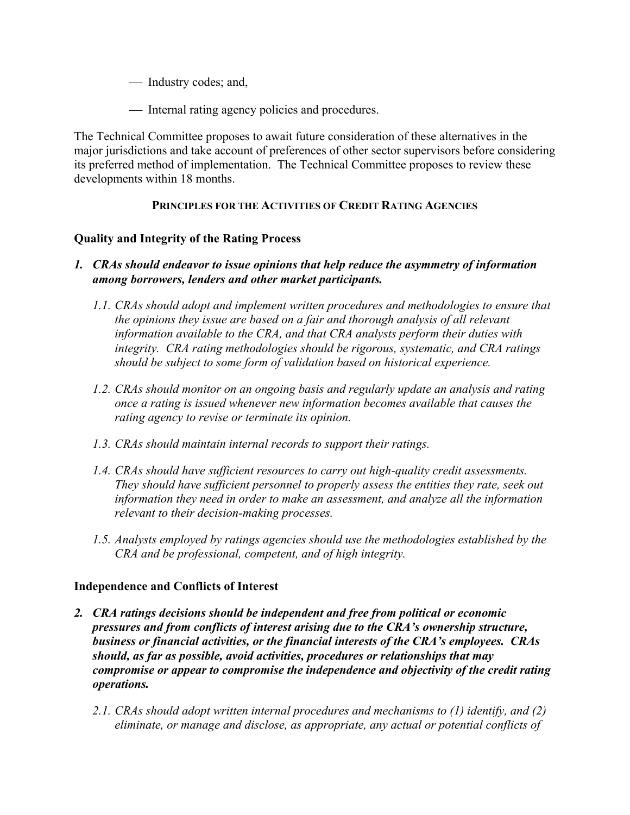- Industry codes; and,
- Internal rating agency policies and procedures.

The Technical Committee proposes to await future consideration of these alternatives in the major jurisdictions and take account of preferences of other sector supervisors before considering its preferred method of implementation. The Technical Committee proposes to review these developments within 18 months.

### **PRINCIPLES FOR THE ACTIVITIES OF CREDIT RATING AGENCIES**

### **Quality and Integrity of the Rating Process**

## *1. CRAs should endeavor to issue opinions that help reduce the asymmetry of information among borrowers, lenders and other market participants.*

- *1.1. CRAs should adopt and implement written procedures and methodologies to ensure that the opinions they issue are based on a fair and thorough analysis of all relevant information available to the CRA, and that CRA analysts perform their duties with integrity. CRA rating methodologies should be rigorous, systematic, and CRA ratings should be subject to some form of validation based on historical experience.*
- *1.2. CRAs should monitor on an ongoing basis and regularly update an analysis and rating once a rating is issued whenever new information becomes available that causes the rating agency to revise or terminate its opinion.*
- *1.3. CRAs should maintain internal records to support their ratings.*
- *1.4. CRAs should have sufficient resources to carry out high-quality credit assessments. They should have sufficient personnel to properly assess the entities they rate, seek out information they need in order to make an assessment, and analyze all the information relevant to their decision-making processes.*
- *1.5. Analysts employed by ratings agencies should use the methodologies established by the CRA and be professional, competent, and of high integrity.*

# **Independence and Conflicts of Interest**

- *2. CRA ratings decisions should be independent and free from political or economic pressures and from conflicts of interest arising due to the CRA's ownership structure, business or financial activities, or the financial interests of the CRA's employees. CRAs should, as far as possible, avoid activities, procedures or relationships that may compromise or appear to compromise the independence and objectivity of the credit rating operations.* 
	- *2.1. CRAs should adopt written internal procedures and mechanisms to (1) identify, and (2) eliminate, or manage and disclose, as appropriate, any actual or potential conflicts of*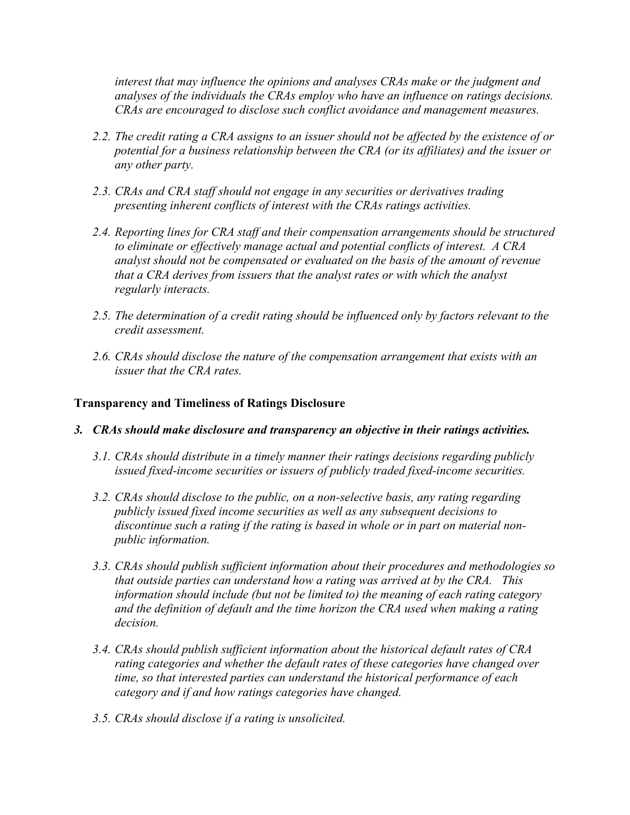*interest that may influence the opinions and analyses CRAs make or the judgment and analyses of the individuals the CRAs employ who have an influence on ratings decisions. CRAs are encouraged to disclose such conflict avoidance and management measures.* 

- *2.2. The credit rating a CRA assigns to an issuer should not be affected by the existence of or potential for a business relationship between the CRA (or its affiliates) and the issuer or any other party.*
- *2.3. CRAs and CRA staff should not engage in any securities or derivatives trading presenting inherent conflicts of interest with the CRAs ratings activities.*
- *2.4. Reporting lines for CRA staff and their compensation arrangements should be structured to eliminate or effectively manage actual and potential conflicts of interest. A CRA analyst should not be compensated or evaluated on the basis of the amount of revenue that a CRA derives from issuers that the analyst rates or with which the analyst regularly interacts.*
- *2.5. The determination of a credit rating should be influenced only by factors relevant to the credit assessment.*
- *2.6. CRAs should disclose the nature of the compensation arrangement that exists with an issuer that the CRA rates.*

#### **Transparency and Timeliness of Ratings Disclosure**

- *3. CRAs should make disclosure and transparency an objective in their ratings activities.* 
	- *3.1. CRAs should distribute in a timely manner their ratings decisions regarding publicly issued fixed-income securities or issuers of publicly traded fixed-income securities.*
	- *3.2. CRAs should disclose to the public, on a non-selective basis, any rating regarding publicly issued fixed income securities as well as any subsequent decisions to discontinue such a rating if the rating is based in whole or in part on material nonpublic information.*
	- *3.3. CRAs should publish sufficient information about their procedures and methodologies so that outside parties can understand how a rating was arrived at by the CRA. This information should include (but not be limited to) the meaning of each rating category and the definition of default and the time horizon the CRA used when making a rating decision.*
	- *3.4. CRAs should publish sufficient information about the historical default rates of CRA rating categories and whether the default rates of these categories have changed over time, so that interested parties can understand the historical performance of each category and if and how ratings categories have changed.*
	- *3.5. CRAs should disclose if a rating is unsolicited.*